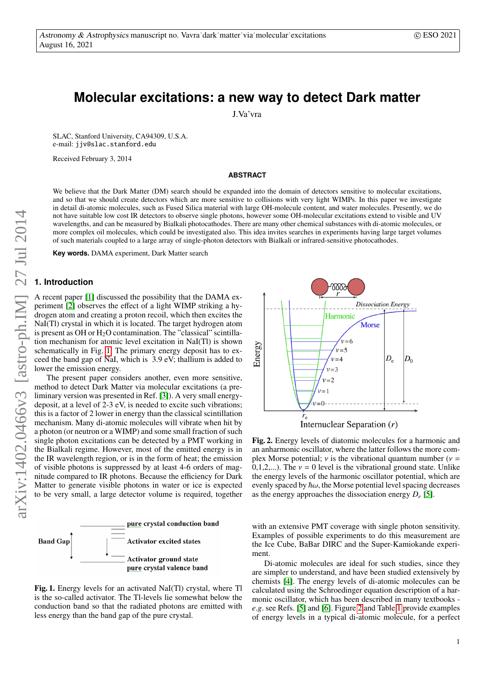# **Molecular excitations: a new way to detect Dark matter**

J.Va'vra

SLAC, Stanford University, CA94309, U.S.A. e-mail: jjv@slac.stanford.edu

Received February 3, 2014

## **ABSTRACT**

We believe that the Dark Matter (DM) search should be expanded into the domain of detectors sensitive to molecular excitations, and so that we should create detectors which are more sensitive to collisions with very light WIMPs. In this paper we investigate in detail di-atomic molecules, such as Fused Silica material with large OH-molecule content, and water molecules. Presently, we do not have suitable low cost IR detectors to observe single photons, however some OH-molecular excitations extend to visible and UV wavelengths, and can be measured by Bialkali photocathodes. There are many other chemical substances with di-atomic molecules, or more complex oil molecules, which could be investigated also. This idea invites searches in experiments having large target volumes of such materials coupled to a large array of single-photon detectors with Bialkali or infrared-sensitive photocathodes.

**Key words.** DAMA experiment, Dark Matter search

# **1. Introduction**

A recent paper [\[1\]](#page-3-0) discussed the possibility that the DAMA experiment [\[2\]](#page-3-1) observes the effect of a light WIMP striking a hydrogen atom and creating a proton recoil, which then excites the NaI(Tl) crystal in which it is located. The target hydrogen atom is present as OH or  $H_2O$  contamination. The "classical" scintillation mechanism for atomic level excitation in NaI(Tl) is shown schematically in Fig. [1.](#page-0-0) The primary energy deposit has to exceed the band gap of NaI, which is 3.9 eV; thallium is added to lower the emission energy.

The present paper considers another, even more sensitive, method to detect Dark Matter via molecular excitations (a preliminary version was presented in Ref. [\[3\]](#page-3-2)). A very small energydeposit, at a level of 2-3 eV, is needed to excite such vibrations; this is a factor of 2 lower in energy than the classical scintillation mechanism. Many di-atomic molecules will vibrate when hit by a photon (or neutron or a WIMP) and some small fraction of such single photon excitations can be detected by a PMT working in the Bialkali regime. However, most of the emitted energy is in the IR wavelength region, or is in the form of heat; the emission of visible photons is suppressed by at least 4-6 orders of magnitude compared to IR photons. Because the efficiency for Dark Matter to generate visible photons in water or ice is expected to be very small, a large detector volume is required, together



<span id="page-0-0"></span>



<span id="page-0-1"></span>Fig. 2. Energy levels of diatomic molecules for a harmonic and an anharmonic oscillator, where the latter follows the more complex Morse potential;  $\nu$  is the vibrational quantum number ( $\nu$  = 0,1,2,...). The  $v = 0$  level is the vibrational ground state. Unlike the energy levels of the harmonic oscillator potential, which are evenly spaced by  $\hbar\omega$ , the Morse potential level spacing decreases as the energy approaches the dissociation energy *D<sup>e</sup>* [\[5\]](#page-3-3).

with an extensive PMT coverage with single photon sensitivity. Examples of possible experiments to do this measurement are the Ice Cube, BaBar DIRC and the Super-Kamiokande experiment.

Di-atomic molecules are ideal for such studies, since they are simpler to understand, and have been studied extensively by chemists [\[4\]](#page-3-4). The energy levels of di-atomic molecules can be calculated using the Schroedinger equation description of a harmonic oscillator, which has been described in many textbooks *<sup>e</sup>*.*g*. see Refs. [\[5\]](#page-3-3) and [\[6\]](#page-3-5). Figure [2](#page-0-1) and Table [1](#page-1-0) provide examples of energy levels in a typical di-atomic molecule, for a perfect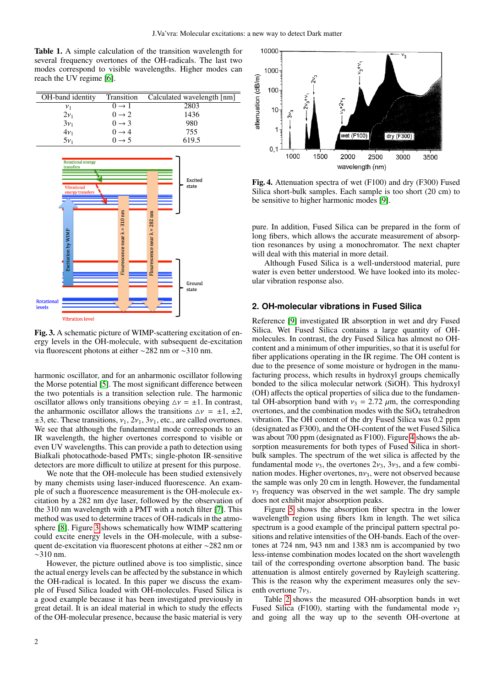<span id="page-1-0"></span>Table 1. A simple calculation of the transition wavelength for several frequency overtones of the OH-radicals. The last two modes correspond to visible wavelengths. Higher modes can reach the UV regime [\[6\]](#page-3-5).

| OH-band identity | <b>Transition</b>  | Calculated wavelength [nm] |
|------------------|--------------------|----------------------------|
| ${\nu}_1$        | $() \rightarrow 1$ | 2803                       |
| $2v_1$           | $0 \rightarrow 2$  | 1436                       |
| $3v_1$           | $0 \rightarrow 3$  | 980                        |
| $4v_1$           | $0 \rightarrow 4$  | 755                        |
| ٢ν.              | $0 \rightarrow 5$  | 619.5                      |



<span id="page-1-1"></span>Fig. 3. A schematic picture of WIMP-scattering excitation of energy levels in the OH-molecule, with subsequent de-excitation via fluorescent photons at either ∼282 nm or ∼310 nm.

harmonic oscillator, and for an anharmonic oscillator following the Morse potential [\[5\]](#page-3-3). The most significant difference between the two potentials is a transition selection rule. The harmonic oscillator allows only transitions obeying  $\Delta v = \pm 1$ . In contrast, the anharmonic oscillator allows the transitions  $\Delta v = \pm 1, \pm 2,$  $\pm 3$ , etc. These transitions,  $v_1$ ,  $2v_1$ ,  $3v_1$ , etc., are called overtones. We see that although the fundamental mode corresponds to an IR wavelength, the higher overtones correspond to visible or even UV wavelengths. This can provide a path to detection using Bialkali photocathode-based PMTs; single-photon IR-sensitive detectors are more difficult to utilize at present for this purpose.

We note that the OH-molecule has been studied extensively by many chemists using laser-induced fluorescence. An example of such a fluorescence measurement is the OH-molecule excitation by a 282 nm dye laser, followed by the observation of the 310 nm wavelength with a PMT with a notch filter [\[7\]](#page-3-6). This method was used to determine traces of OH-radicals in the atmosphere [\[8\]](#page-3-7). Figure [3](#page-1-1) shows schematically how WIMP scattering could excite energy levels in the OH-molecule, with a subsequent de-excitation via fluorescent photons at either ∼282 nm or ∼310 nm.

However, the picture outlined above is too simplistic, since the actual energy levels can be affected by the substance in which the OH-radical is located. In this paper we discuss the example of Fused Silica loaded with OH-molecules. Fused Silica is a good example because it has been investigated previously in great detail. It is an ideal material in which to study the effects of the OH-molecular presence, because the basic material is very



<span id="page-1-2"></span>Fig. 4. Attenuation spectra of wet (F100) and dry (F300) Fused Silica short-bulk samples. Each sample is too short (20 cm) to be sensitive to higher harmonic modes [\[9\]](#page-3-8).

pure. In addition, Fused Silica can be prepared in the form of long fibers, which allows the accurate measurement of absorption resonances by using a monochromator. The next chapter will deal with this material in more detail.

Although Fused Silica is a well-understood material, pure water is even better understood. We have looked into its molecular vibration response also.

#### **2. OH-molecular vibrations in Fused Silica**

Reference [\[9\]](#page-3-8) investigated IR absorption in wet and dry Fused Silica. Wet Fused Silica contains a large quantity of OHmolecules. In contrast, the dry Fused Silica has almost no OHcontent and a minimum of other impurities, so that it is useful for fiber applications operating in the IR regime. The OH content is due to the presence of some moisture or hydrogen in the manufacturing process, which results in hydroxyl groups chemically bonded to the silica molecular network (SiOH). This hydroxyl (OH) affects the optical properties of silica due to the fundamental OH-absorption band with  $v_3 = 2.72 \mu m$ , the corresponding overtones, and the combination modes with the  $SiO<sub>4</sub>$  tetrahedron vibration. The OH content of the dry Fused Silica was 0.2 ppm (designated as F300), and the OH-content of the wet Fused Silica was about 700 ppm (designated as F100). Figure [4](#page-1-2) shows the absorption measurements for both types of Fused Silica in shortbulk samples. The spectrum of the wet silica is affected by the fundamental mode  $v_3$ , the overtones  $2v_3$ ,  $3v_3$ , and a few combination modes. Higher overtones,  $n v_3$ , were not observed because the sample was only 20 cm in length. However, the fundamental  $v_3$  frequency was observed in the wet sample. The dry sample does not exhibit major absorption peaks.

Figure [5](#page-2-0) shows the absorption fiber spectra in the lower wavelength region using fibers 1km in length. The wet silica spectrum is a good example of the principal pattern spectral positions and relative intensities of the OH-bands. Each of the overtones at 724 nm, 943 nm and 1383 nm is accompanied by two less-intense combination modes located on the short wavelength tail of the corresponding overtone absorption band. The basic attenuation is almost entirely governed by Rayleigh scattering. This is the reason why the experiment measures only the seventh overtone  $7v_3$ .

Table [2](#page-2-1) shows the measured OH-absorption bands in wet Fused Silica (F100), starting with the fundamental mode  $v_3$ and going all the way up to the seventh OH-overtone at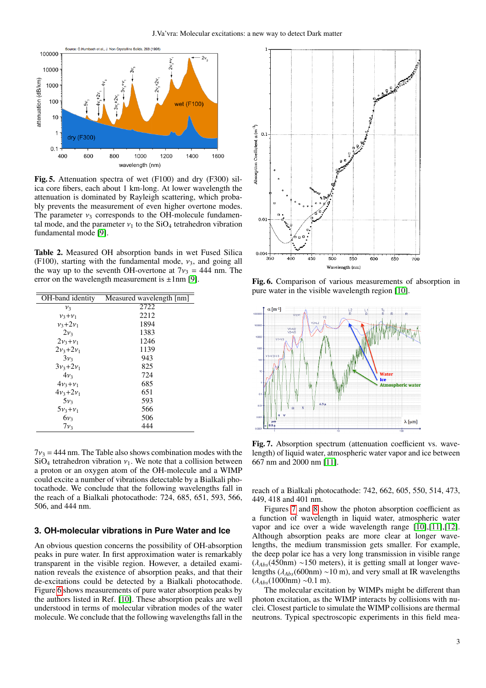

<span id="page-2-0"></span>Fig. 5. Attenuation spectra of wet (F100) and dry (F300) silica core fibers, each about 1 km-long. At lower wavelength the attenuation is dominated by Rayleigh scattering, which probably prevents the measurement of even higher overtone modes. The parameter  $v_3$  corresponds to the OH-molecule fundamental mode, and the parameter  $v_1$  to the SiO<sub>4</sub> tetrahedron vibration fundamental mode [\[9\]](#page-3-8).

<span id="page-2-1"></span>Table 2. Measured OH absorption bands in wet Fused Silica (F100), starting with the fundamental mode,  $v_3$ , and going all the way up to the seventh OH-overtone at  $7v_3 = 444$  nm. The error on the wavelength measurement is  $\pm 1$ nm [\[9\]](#page-3-8).

| Measured wavelength [nm] |
|--------------------------|
| 2722                     |
| 2212                     |
| 1894                     |
| 1383                     |
| 1246                     |
| 1139                     |
| 943                      |
| 825                      |
| 724                      |
| 685                      |
| 651                      |
| 593                      |
| 566                      |
| 506                      |
| 444                      |
|                          |

 $7v_3 = 444$  nm. The Table also shows combination modes with the  $SiO<sub>4</sub>$  tetrahedron vibration  $v<sub>1</sub>$ . We note that a collision between a proton or an oxygen atom of the OH-molecule and a WIMP could excite a number of vibrations detectable by a Bialkali photocathode. We conclude that the following wavelengths fall in the reach of a Bialkali photocathode: 724, 685, 651, 593, 566, 506, and 444 nm.

## **3. OH-molecular vibrations in Pure Water and Ice**

An obvious question concerns the possibility of OH-absorption peaks in pure water. In first approximation water is remarkably transparent in the visible region. However, a detailed examination reveals the existence of absorption peaks, and that their de-excitations could be detected by a Bialkali photocathode. Figure [6](#page-2-2) shows measurements of pure water absorption peaks by the authors listed in Ref. [\[10\]](#page-3-9). These absorption peaks are well understood in terms of molecular vibration modes of the water molecule. We conclude that the following wavelengths fall in the



<span id="page-2-2"></span>Fig. 6. Comparison of various measurements of absorption in pure water in the visible wavelength region [\[10\]](#page-3-9).



<span id="page-2-3"></span>Fig. 7. Absorption spectrum (attenuation coefficient vs. wavelength) of liquid water, atmospheric water vapor and ice between 667 nm and 2000 nm [\[11\]](#page-3-10).

reach of a Bialkali photocathode: 742, 662, 605, 550, 514, 473, 449, 418 and 401 nm.

Figures [7](#page-2-3) and [8](#page-3-11) show the photon absorption coefficient as a function of wavelength in liquid water, atmospheric water vapor and ice over a wide wavelength range [\[10\]](#page-3-9),[\[11\]](#page-3-10),[\[12\]](#page-3-12). Although absorption peaks are more clear at longer wavelengths, the medium transmission gets smaller. For example, the deep polar ice has a very long transmission in visible range (λ*Abs*(450nm) <sup>∼</sup>150 meters), it is getting small at longer wavelengths (λ*Abs*(600nm) <sup>∼</sup>10 m), and very small at IR wavelengths (λ*Abs*(1000nm) <sup>∼</sup>0.1 m).

The molecular excitation by WIMPs might be different than photon excitation, as the WIMP interacts by collisions with nuclei. Closest particle to simulate the WIMP collisions are thermal neutrons. Typical spectroscopic experiments in this field mea-